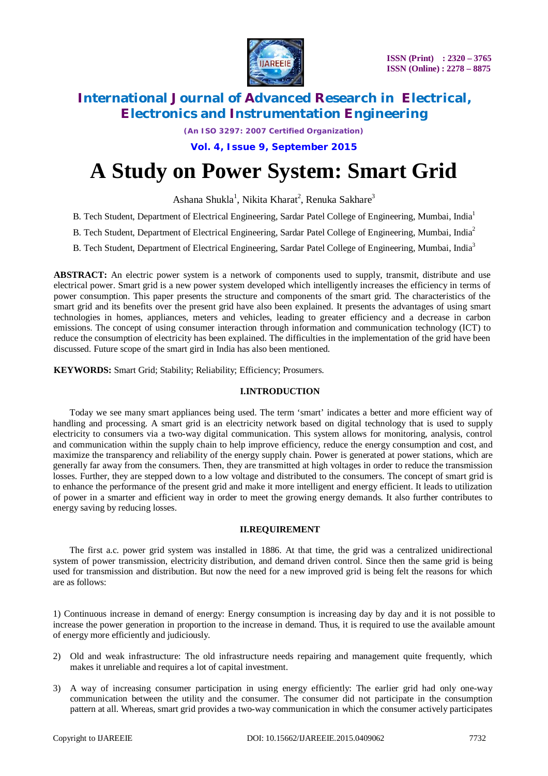

*(An ISO 3297: 2007 Certified Organization)*

**Vol. 4, Issue 9, September 2015**

# **A Study on Power System: Smart Grid**

Ashana Shukla<sup>1</sup>, Nikita Kharat<sup>2</sup>, Renuka Sakhare<sup>3</sup>

- B. Tech Student, Department of Electrical Engineering, Sardar Patel College of Engineering, Mumbai, India<sup>1</sup>
- B. Tech Student, Department of Electrical Engineering, Sardar Patel College of Engineering, Mumbai, India<sup>2</sup>
- B. Tech Student, Department of Electrical Engineering, Sardar Patel College of Engineering, Mumbai, India<sup>3</sup>

**ABSTRACT:** An electric power system is a network of components used to supply, transmit, distribute and use electrical power. Smart grid is a new power system developed which intelligently increases the efficiency in terms of power consumption. This paper presents the structure and components of the smart grid. The characteristics of the smart grid and its benefits over the present grid have also been explained. It presents the advantages of using smart technologies in homes, appliances, meters and vehicles, leading to greater efficiency and a decrease in carbon emissions. The concept of using consumer interaction through information and communication technology (ICT) to reduce the consumption of electricity has been explained. The difficulties in the implementation of the grid have been discussed. Future scope of the smart gird in India has also been mentioned.

**KEYWORDS:** Smart Grid; Stability; Reliability; Efficiency; Prosumers.

#### **I.INTRODUCTION**

Today we see many smart appliances being used. The term 'smart' indicates a better and more efficient way of handling and processing. A smart grid is an electricity network based on digital technology that is used to supply electricity to consumers via a two-way digital communication. This system allows for monitoring, analysis, control and communication within the supply chain to help improve efficiency, reduce the energy consumption and cost, and maximize the transparency and reliability of the energy supply chain. Power is generated at power stations, which are generally far away from the consumers. Then, they are transmitted at high voltages in order to reduce the transmission losses. Further, they are stepped down to a low voltage and distributed to the consumers. The concept of smart grid is to enhance the performance of the present grid and make it more intelligent and energy efficient. It leads to utilization of power in a smarter and efficient way in order to meet the growing energy demands. It also further contributes to energy saving by reducing losses.

#### **II.REQUIREMENT**

The first a.c. power grid system was installed in 1886. At that time, the grid was a centralized unidirectional system of power transmission, electricity distribution, and demand driven control. Since then the same grid is being used for transmission and distribution. But now the need for a new improved grid is being felt the reasons for which are as follows:

1) Continuous increase in demand of energy: Energy consumption is increasing day by day and it is not possible to increase the power generation in proportion to the increase in demand. Thus, it is required to use the available amount of energy more efficiently and judiciously.

- 2) Old and weak infrastructure: The old infrastructure needs repairing and management quite frequently, which makes it unreliable and requires a lot of capital investment.
- 3) A way of increasing consumer participation in using energy efficiently: The earlier grid had only one-way communication between the utility and the consumer. The consumer did not participate in the consumption pattern at all. Whereas, smart grid provides a two-way communication in which the consumer actively participates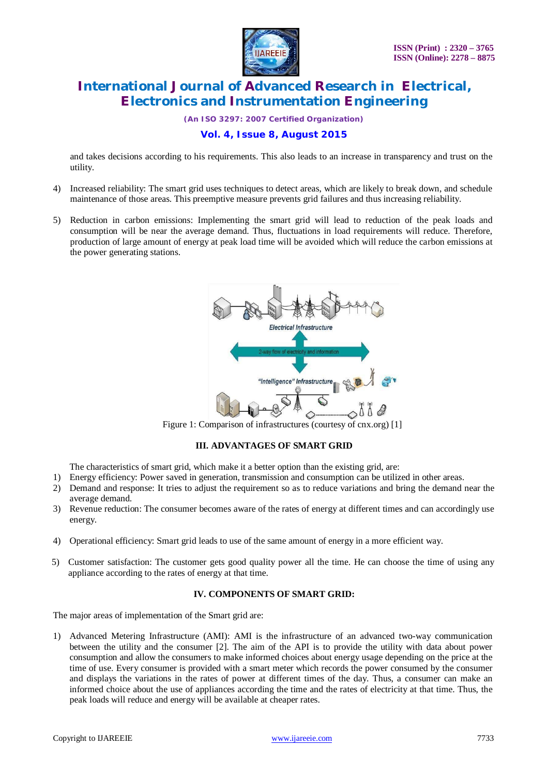

*(An ISO 3297: 2007 Certified Organization)*

### **Vol. 4, Issue 8, August 2015**

and takes decisions according to his requirements. This also leads to an increase in transparency and trust on the utility.

- 4) Increased reliability: The smart grid uses techniques to detect areas, which are likely to break down, and schedule maintenance of those areas. This preemptive measure prevents grid failures and thus increasing reliability.
- 5) Reduction in carbon emissions: Implementing the smart grid will lead to reduction of the peak loads and consumption will be near the average demand. Thus, fluctuations in load requirements will reduce. Therefore, production of large amount of energy at peak load time will be avoided which will reduce the carbon emissions at the power generating stations.



Figure 1: Comparison of infrastructures (courtesy of cnx.org) [1]

### **III. ADVANTAGES OF SMART GRID**

The characteristics of smart grid, which make it a better option than the existing grid, are:

- 1) Energy efficiency: Power saved in generation, transmission and consumption can be utilized in other areas.
- 2) Demand and response: It tries to adjust the requirement so as to reduce variations and bring the demand near the average demand.
- 3) Revenue reduction: The consumer becomes aware of the rates of energy at different times and can accordingly use energy.
- 4) Operational efficiency: Smart grid leads to use of the same amount of energy in a more efficient way.
- 5) Customer satisfaction: The customer gets good quality power all the time. He can choose the time of using any appliance according to the rates of energy at that time.

#### **IV. COMPONENTS OF SMART GRID:**

The major areas of implementation of the Smart grid are:

1) Advanced Metering Infrastructure (AMI): AMI is the infrastructure of an advanced two-way communication between the utility and the consumer [2]. The aim of the API is to provide the utility with data about power consumption and allow the consumers to make informed choices about energy usage depending on the price at the time of use. Every consumer is provided with a smart meter which records the power consumed by the consumer and displays the variations in the rates of power at different times of the day. Thus, a consumer can make an informed choice about the use of appliances according the time and the rates of electricity at that time. Thus, the peak loads will reduce and energy will be available at cheaper rates.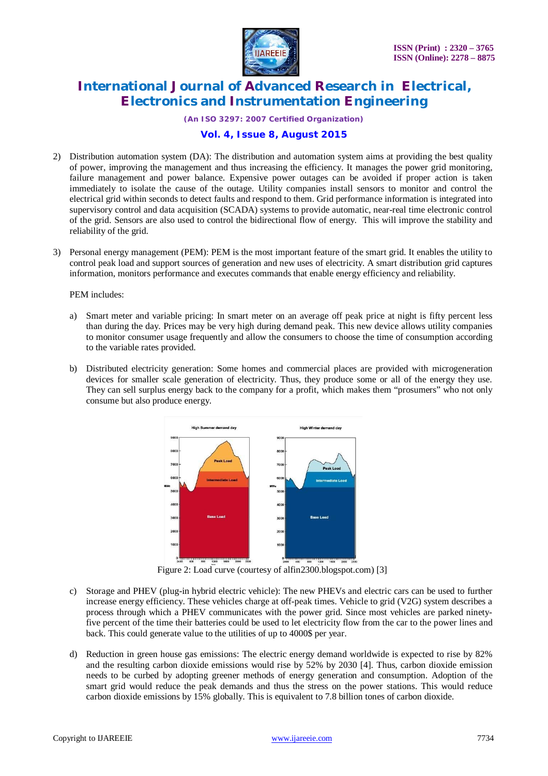

*(An ISO 3297: 2007 Certified Organization)*

#### **Vol. 4, Issue 8, August 2015**

- 2) Distribution automation system (DA): The distribution and automation system aims at providing the best quality of power, improving the management and thus increasing the efficiency. It manages the power grid monitoring, failure management and power balance. Expensive power outages can be avoided if proper action is taken immediately to isolate the cause of the outage. Utility companies install sensors to monitor and control the electrical grid within seconds to detect faults and respond to them. Grid performance information is integrated into supervisory control and data acquisition (SCADA) systems to provide automatic, near-real time electronic control of the grid. Sensors are also used to control the bidirectional flow of energy. This will improve the stability and reliability of the grid.
- 3) Personal energy management (PEM): PEM is the most important feature of the smart grid. It enables the utility to control peak load and support sources of generation and new uses of electricity. A smart distribution grid captures information, monitors performance and executes commands that enable energy efficiency and reliability.

#### PEM includes:

- a) Smart meter and variable pricing: In smart meter on an average off peak price at night is fifty percent less than during the day. Prices may be very high during demand peak. This new device allows utility companies to monitor consumer usage frequently and allow the consumers to choose the time of consumption according to the variable rates provided.
- b) Distributed electricity generation: Some homes and commercial places are provided with microgeneration devices for smaller scale generation of electricity. Thus, they produce some or all of the energy they use. They can sell surplus energy back to the company for a profit, which makes them "prosumers" who not only consume but also produce energy.



Figure 2: Load curve (courtesy of alfin2300.blogspot.com) [3]

- c) Storage and PHEV (plug-in hybrid electric vehicle): The new PHEVs and electric cars can be used to further increase energy efficiency. These vehicles charge at off-peak times. Vehicle to grid (V2G) system describes a process through which a PHEV communicates with the power grid. Since most vehicles are parked ninetyfive percent of the time their batteries could be used to let electricity flow from the car to the power lines and back. This could generate value to the utilities of up to 4000\$ per year.
- d) Reduction in green house gas emissions: The electric energy demand worldwide is expected to rise by 82% and the resulting carbon dioxide emissions would rise by 52% by 2030 [4]. Thus, carbon dioxide emission needs to be curbed by adopting greener methods of energy generation and consumption. Adoption of the smart grid would reduce the peak demands and thus the stress on the power stations. This would reduce carbon dioxide emissions by 15% globally. This is equivalent to 7.8 billion tones of carbon dioxide.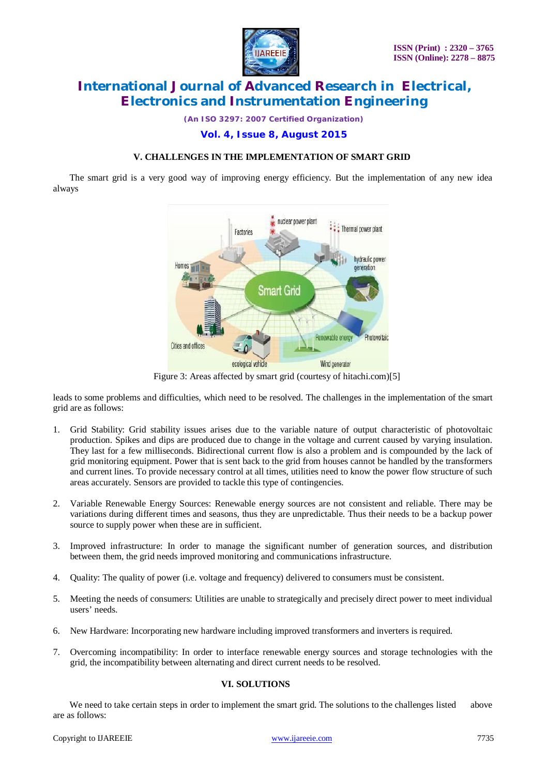

*(An ISO 3297: 2007 Certified Organization)*

#### **Vol. 4, Issue 8, August 2015**

#### **V. CHALLENGES IN THE IMPLEMENTATION OF SMART GRID**

The smart grid is a very good way of improving energy efficiency. But the implementation of any new idea always



Figure 3: Areas affected by smart grid (courtesy of hitachi.com)[5]

leads to some problems and difficulties, which need to be resolved. The challenges in the implementation of the smart grid are as follows:

- 1. Grid Stability: Grid stability issues arises due to the variable nature of output characteristic of photovoltaic production. Spikes and dips are produced due to change in the voltage and current caused by varying insulation. They last for a few milliseconds. Bidirectional current flow is also a problem and is compounded by the lack of grid monitoring equipment. Power that is sent back to the grid from houses cannot be handled by the transformers and current lines. To provide necessary control at all times, utilities need to know the power flow structure of such areas accurately. Sensors are provided to tackle this type of contingencies.
- 2. Variable Renewable Energy Sources: Renewable energy sources are not consistent and reliable. There may be variations during different times and seasons, thus they are unpredictable. Thus their needs to be a backup power source to supply power when these are in sufficient.
- 3. Improved infrastructure: In order to manage the significant number of generation sources, and distribution between them, the grid needs improved monitoring and communications infrastructure.
- 4. Quality: The quality of power (i.e. voltage and frequency) delivered to consumers must be consistent.
- 5. Meeting the needs of consumers: Utilities are unable to strategically and precisely direct power to meet individual users' needs.
- 6. New Hardware: Incorporating new hardware including improved transformers and inverters is required.
- 7. Overcoming incompatibility: In order to interface renewable energy sources and storage technologies with the grid, the incompatibility between alternating and direct current needs to be resolved.

#### **VI. SOLUTIONS**

We need to take certain steps in order to implement the smart grid. The solutions to the challenges listed above are as follows: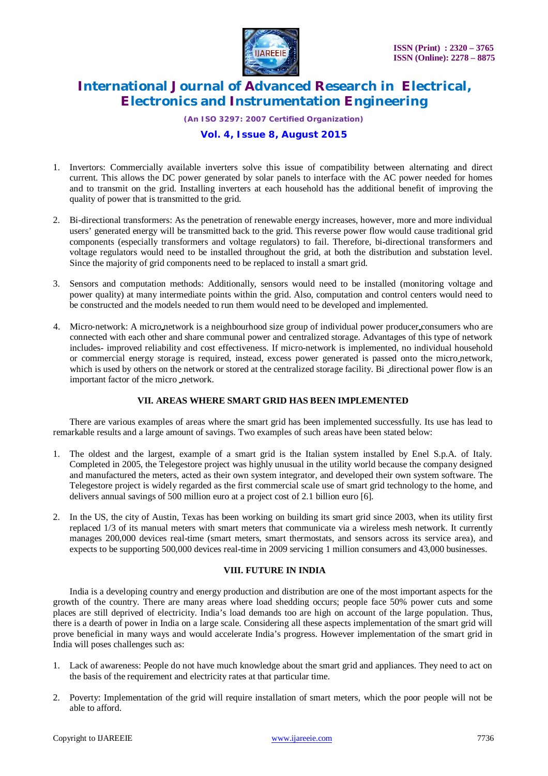

*(An ISO 3297: 2007 Certified Organization)*

### **Vol. 4, Issue 8, August 2015**

- 1. Invertors: Commercially available inverters solve this issue of compatibility between alternating and direct current. This allows the DC power generated by solar panels to interface with the AC power needed for homes and to transmit on the grid. Installing inverters at each household has the additional benefit of improving the quality of power that is transmitted to the grid.
- 2. Bi-directional transformers: As the penetration of renewable energy increases, however, more and more individual users' generated energy will be transmitted back to the grid. This reverse power flow would cause traditional grid components (especially transformers and voltage regulators) to fail. Therefore, bi-directional transformers and voltage regulators would need to be installed throughout the grid, at both the distribution and substation level. Since the majority of grid components need to be replaced to install a smart grid.
- 3. Sensors and computation methods: Additionally, sensors would need to be installed (monitoring voltage and power quality) at many intermediate points within the grid. Also, computation and control centers would need to be constructed and the models needed to run them would need to be developed and implemented.
- 4. Micro-network: A micro network is a neighbourhood size group of individual power producer consumers who are connected with each other and share communal power and centralized storage. Advantages of this type of network includes- improved reliability and cost effectiveness. If micro-network is implemented, no individual household or commercial energy storage is required, instead, excess power generated is passed onto the micro network, which is used by others on the network or stored at the centralized storage facility. Bi directional power flow is an important factor of the micro network.

#### **VII. AREAS WHERE SMART GRID HAS BEEN IMPLEMENTED**

There are various examples of areas where the smart grid has been implemented successfully. Its use has lead to remarkable results and a large amount of savings. Two examples of such areas have been stated below:

- 1. The oldest and the largest, example of a smart grid is the Italian system installed by Enel S.p.A. of Italy. Completed in 2005, the Telegestore project was highly unusual in the utility world because the company designed and manufactured the meters, acted as their own system integrator, and developed their own system software. The Telegestore project is widely regarded as the first commercial scale use of smart grid technology to the home, and delivers annual savings of 500 million euro at a project cost of 2.1 billion euro [6].
- 2. In the US, the city of Austin, Texas has been working on building its smart grid since 2003, when its utility first replaced 1/3 of its manual meters with smart meters that communicate via a wireless mesh network. It currently manages 200,000 devices real-time (smart meters, smart thermostats, and sensors across its service area), and expects to be supporting 500,000 devices real-time in 2009 servicing 1 million consumers and 43,000 businesses.

#### **VIII. FUTURE IN INDIA**

India is a developing country and energy production and distribution are one of the most important aspects for the growth of the country. There are many areas where load shedding occurs; people face 50% power cuts and some places are still deprived of electricity. India's load demands too are high on account of the large population. Thus, there is a dearth of power in India on a large scale. Considering all these aspects implementation of the smart grid will prove beneficial in many ways and would accelerate India's progress. However implementation of the smart grid in India will poses challenges such as:

- 1. Lack of awareness: People do not have much knowledge about the smart grid and appliances. They need to act on the basis of the requirement and electricity rates at that particular time.
- 2. Poverty: Implementation of the grid will require installation of smart meters, which the poor people will not be able to afford.